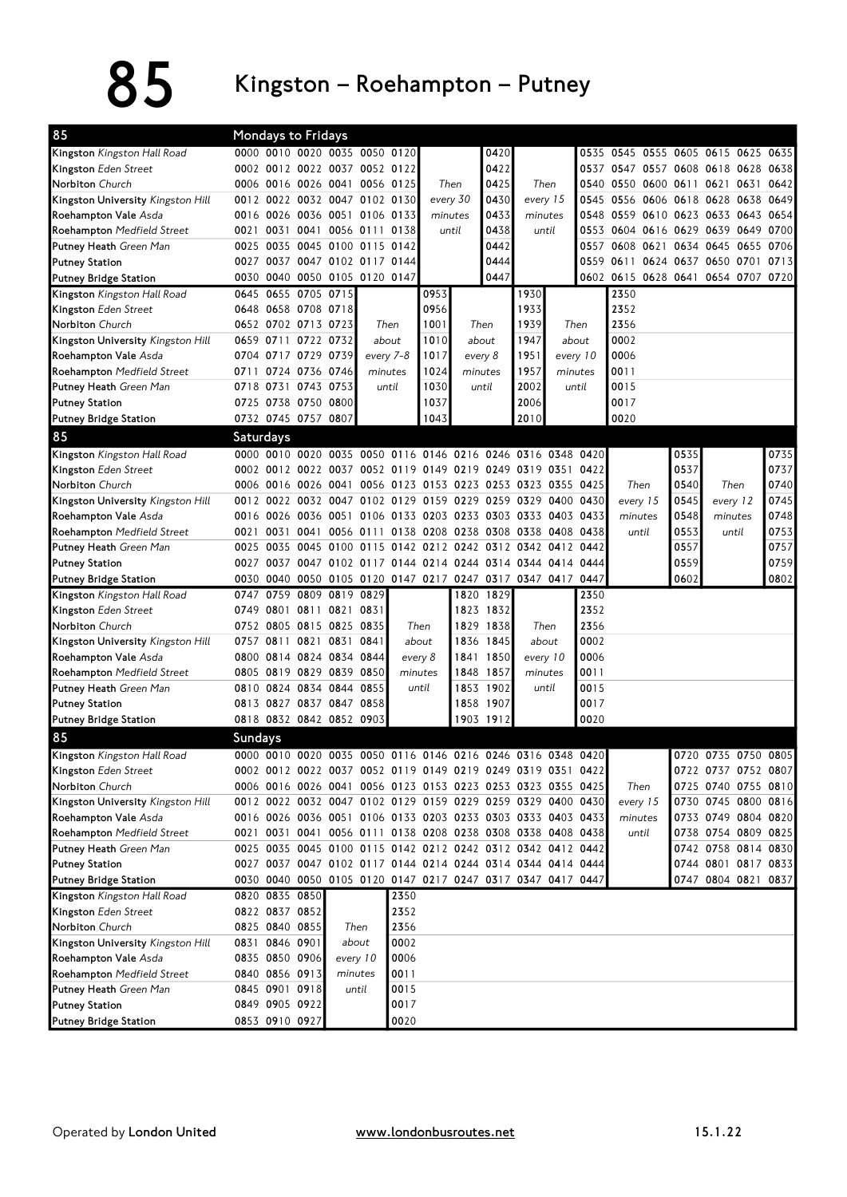## 85 Kingston – Roehampton – Putney

| 85                                |                  | Mondays to Fridays  |           |                               |          |           |      |          |                                                             |               |          |                                                             |                                    |       |                          |                     |       |                     |
|-----------------------------------|------------------|---------------------|-----------|-------------------------------|----------|-----------|------|----------|-------------------------------------------------------------|---------------|----------|-------------------------------------------------------------|------------------------------------|-------|--------------------------|---------------------|-------|---------------------|
| Kingston Kingston Hall Road       |                  |                     |           | 0000 0010 0020 0035 0050 0120 |          |           |      |          | 0420                                                        |               |          |                                                             | 0535 0545 0555 0605 0615 0625 0635 |       |                          |                     |       |                     |
| Kingston Eden Street              |                  |                     |           | 0002 0012 0022 0037 0052 0122 |          |           |      |          | 0422                                                        |               |          |                                                             | 0537 0547 0557 0608 0618 0628      |       |                          |                     |       | 0638                |
| Norbiton Church                   |                  |                     |           | 0006 0016 0026 0041 0056 0125 |          |           |      | Then     | 0425                                                        | Then          |          |                                                             | 0540 0550 0600 0611 0621 0631 0642 |       |                          |                     |       |                     |
| Kingston University Kingston Hill |                  |                     |           | 0012 0022 0032 0047 0102 0130 |          |           |      | every 30 | 0430                                                        | every 15      |          | 0545                                                        | 0556                               |       | 0606 0618 0628 0638 0649 |                     |       |                     |
| Roehampton Vale Asda              |                  |                     |           | 0016 0026 0036 0051 0106 0133 |          |           |      | minutes  | 0433                                                        | minutes       |          |                                                             | 0548 0559                          |       | 0610 0623 0633 0643 0654 |                     |       |                     |
| Roehampton Medfield Street        |                  | 0021 0031           |           | 0041 0056 0111                |          | 0138      |      | until    | 0438                                                        | until         |          |                                                             | 0553 0604 0616 0629 0639 0649 0700 |       |                          |                     |       |                     |
| Putney Heath Green Man            | 0025             |                     |           | 0035 0045 0100 0115           |          | 0142      |      |          | 0442                                                        |               |          | 0557                                                        | 0608 0621                          |       | 0634 0645                |                     | 0655  | 0706                |
| <b>Putney Station</b>             |                  |                     |           | 0027 0037 0047 0102 0117 0144 |          |           |      |          | 0444                                                        |               |          |                                                             | 0559 0611 0624 0637 0650 0701 0713 |       |                          |                     |       |                     |
| <b>Putney Bridge Station</b>      |                  |                     |           | 0030 0040 0050 0105 0120 0147 |          |           |      |          | 0447                                                        |               |          |                                                             | 0602 0615 0628 0641 0654 0707 0720 |       |                          |                     |       |                     |
| Kingston Kingston Hall Road       |                  | 0645 0655 0705 0715 |           |                               |          |           | 0953 |          |                                                             | 1930          |          |                                                             | 2350                               |       |                          |                     |       |                     |
| Kingston Eden Street              |                  | 0648 0658 0708 0718 |           |                               |          |           | 0956 |          |                                                             | 1933          |          |                                                             | 2352                               |       |                          |                     |       |                     |
| Norbiton Church                   |                  | 0652 0702 0713 0723 |           |                               |          | Then      | 1001 |          | Then                                                        | 1939          |          | Then                                                        | 2356                               |       |                          |                     |       |                     |
| Kingston University Kingston Hill |                  | 0659 0711 0722 0732 |           |                               |          | about     | 1010 |          | about                                                       | 1947<br>about |          |                                                             | 0002                               |       |                          |                     |       |                     |
| Roehampton Vale Asda              |                  | 0704 0717 0729 0739 |           |                               |          | every 7-8 | 1017 |          | every 8                                                     | 1951          |          | every 10                                                    | 0006                               |       |                          |                     |       |                     |
| Roehampton Medfield Street        |                  | 0711 0724 0736 0746 |           |                               |          | minutes   | 1024 |          | minutes                                                     | 1957          | minutes  |                                                             | 0011                               |       |                          |                     |       |                     |
| <b>Putney Heath Green Man</b>     | 0718 0731        |                     | 0743 0753 |                               |          | until     | 1030 |          | until                                                       | 2002          |          | until                                                       | 0015                               |       |                          |                     |       |                     |
| <b>Putney Station</b>             |                  | 0725 0738 0750 0800 |           |                               |          |           | 1037 |          |                                                             | 2006          |          |                                                             | 0017                               |       |                          |                     |       |                     |
| <b>Putney Bridge Station</b>      |                  | 0732 0745 0757 0807 |           |                               |          |           | 1043 |          |                                                             | 2010          |          |                                                             | 0020                               |       |                          |                     |       |                     |
| 85                                | <b>Saturdays</b> |                     |           |                               |          |           |      |          |                                                             |               |          |                                                             |                                    |       |                          |                     |       |                     |
| Kingston Kingston Hall Road       |                  |                     |           |                               |          |           |      |          | 0000 0010 0020 0035 0050 0116 0146 0216 0246 0316 0348 0420 |               |          |                                                             |                                    |       | 0535                     |                     |       | 0735                |
| Kingston Eden Street              |                  |                     |           |                               |          |           |      |          | 0002 0012 0022 0037 0052 0119 0149 0219 0249 0319 0351 0422 |               |          |                                                             |                                    |       | 0537                     |                     |       | 0737                |
| Norbiton Church                   |                  |                     |           | 0006 0016 0026 0041           |          |           |      |          | 0056 0123 0153 0223 0253 0323 0355 0425                     |               |          |                                                             | Then                               |       | 0540                     | Then                |       | 0740                |
| Kingston University Kingston Hill |                  |                     |           |                               |          |           |      |          | 0012 0022 0032 0047 0102 0129 0159 0229 0259 0329 0400 0430 |               |          |                                                             | every 15                           |       | 0545                     | every 12            |       | 0745                |
| Roehampton Vale Asda              |                  |                     |           |                               |          |           |      |          | 0016 0026 0036 0051 0106 0133 0203 0233 0303 0333 0403 0433 |               |          |                                                             | minutes                            |       | 0548                     | minutes             |       | 0748                |
| Roehampton Medfield Street        | 0021 0031        |                     | 0041      |                               |          |           |      |          | 0056 0111 0138 0208 0238 0308 0338 0408 0438                |               |          |                                                             |                                    | until | 0553                     |                     | until | 0753                |
| Putney Heath Green Man            | 0025             |                     |           | 0035 0045 0100 0115           |          |           |      |          | 0142 0212 0242 0312 0342 0412 0442                          |               |          |                                                             |                                    |       | 0557                     |                     |       | 0757                |
| <b>Putney Station</b>             |                  |                     |           |                               |          |           |      |          | 0027 0037 0047 0102 0117 0144 0214 0244 0314 0344 0414 0444 |               |          |                                                             |                                    |       | 0559                     |                     |       | 0759                |
| Putney Bridge Station             |                  |                     |           |                               |          |           |      |          | 0030 0040 0050 0105 0120 0147 0217 0247 0317 0347 0417 0447 |               |          |                                                             |                                    |       | 0602                     |                     |       | 0802                |
| Kingston Kingston Hall Road       |                  |                     |           | 0747 0759 0809 0819 0829      |          |           |      |          | 1820 1829                                                   |               |          | 2350                                                        |                                    |       |                          |                     |       |                     |
| Kingston Eden Street              | 0749 0801        |                     |           | 0811 0821 0831                |          |           |      |          | 1823 1832                                                   |               |          | 2352                                                        |                                    |       |                          |                     |       |                     |
| Norbiton Church                   |                  |                     |           | 0752 0805 0815 0825 0835      |          |           | Then |          | 1829 1838                                                   |               | Then     | 2356                                                        |                                    |       |                          |                     |       |                     |
| Kingston University Kingston Hill |                  | 0757 0811           | 0821      | 0831 0841                     |          | about     |      |          | 1836 1845                                                   |               | about    | 0002                                                        |                                    |       |                          |                     |       |                     |
| Roehampton Vale Asda              |                  |                     |           | 0800 0814 0824 0834 0844      |          | every 8   |      |          | 1841 1850                                                   |               | every 10 | 0006                                                        |                                    |       |                          |                     |       |                     |
| Roehampton Medfield Street        | 0805             |                     |           | 0819 0829 0839 0850           |          | minutes   |      |          | 1848 1857                                                   |               | minutes  | 0011                                                        |                                    |       |                          |                     |       |                     |
| Putney Heath Green Man            |                  |                     |           | 0810 0824 0834 0844 0855      |          | until     |      |          | 1853 1902                                                   |               | until    | 0015                                                        |                                    |       |                          |                     |       |                     |
| <b>Putney Station</b>             |                  |                     |           | 0813 0827 0837 0847 0858      |          |           |      |          | 1858 1907                                                   |               |          | 0017                                                        |                                    |       |                          |                     |       |                     |
| <b>Putney Bridge Station</b>      |                  |                     |           | 0818 0832 0842 0852 0903      |          |           |      |          | 1903 1912                                                   |               |          | 0020                                                        |                                    |       |                          |                     |       |                     |
| 85                                | <b>Sundays</b>   |                     |           |                               |          |           |      |          |                                                             |               |          |                                                             |                                    |       |                          |                     |       |                     |
| Kingston Kingston Hall Road       |                  |                     |           |                               |          |           |      |          |                                                             |               |          | 0000 0010 0020 0035 0050 0116 0146 0216 0246 0316 0348 0420 |                                    |       |                          | 0720 0735 0750 0805 |       |                     |
| Kingston Eden Street              |                  |                     |           |                               |          |           |      |          |                                                             |               |          | 0002 0012 0022 0037 0052 0119 0149 0219 0249 0319 0351 0422 |                                    |       |                          | 0722 0737 0752 0807 |       |                     |
| Norbiton Church                   |                  |                     |           |                               |          |           |      |          |                                                             |               |          | 0006 0016 0026 0041 0056 0123 0153 0223 0253 0323 0355 0425 | Then                               |       |                          |                     |       | 0725 0740 0755 0810 |
| Kingston University Kingston Hill |                  |                     |           |                               |          |           |      |          | 0012 0022 0032 0047 0102 0129 0159 0229 0259 0329 0400 0430 |               |          |                                                             | every 15                           |       |                          |                     |       | 0730 0745 0800 0816 |
| Roehampton Vale Asda              |                  |                     |           |                               |          |           |      |          | 0016 0026 0036 0051 0106 0133 0203 0233 0303 0333 0403 0433 |               |          |                                                             | minutes                            |       |                          |                     |       | 0733 0749 0804 0820 |
| Roehampton Medfield Street        |                  |                     |           |                               |          |           |      |          | 0021 0031 0041 0056 0111 0138 0208 0238 0308 0338 0408 0438 |               |          |                                                             |                                    | until |                          | 0738 0754 0809 0825 |       |                     |
| Putney Heath Green Man            |                  |                     |           |                               |          |           |      |          | 0025 0035 0045 0100 0115 0142 0212 0242 0312 0342 0412 0442 |               |          |                                                             |                                    |       |                          |                     |       | 0742 0758 0814 0830 |
| <b>Putney Station</b>             |                  |                     |           |                               |          |           |      |          | 0027 0037 0047 0102 0117 0144 0214 0244 0314 0344 0414 0444 |               |          |                                                             |                                    |       |                          | 0744 0801 0817 0833 |       |                     |
| Putney Bridge Station             |                  |                     |           |                               |          |           |      |          | 0030 0040 0050 0105 0120 0147 0217 0247 0317 0347 0417 0447 |               |          |                                                             |                                    |       |                          | 0747 0804 0821 0837 |       |                     |
| Kingston Kingston Hall Road       |                  | 0820 0835 0850      |           |                               |          | 2350      |      |          |                                                             |               |          |                                                             |                                    |       |                          |                     |       |                     |
| Kingston Eden Street              |                  | 0822 0837 0852      |           |                               |          | 2352      |      |          |                                                             |               |          |                                                             |                                    |       |                          |                     |       |                     |
| Norbiton Church                   |                  | 0825 0840 0855      |           | Then                          |          | 2356      |      |          |                                                             |               |          |                                                             |                                    |       |                          |                     |       |                     |
| Kingston University Kingston Hill |                  | 0831 0846 0901      |           |                               | about    | 0002      |      |          |                                                             |               |          |                                                             |                                    |       |                          |                     |       |                     |
| Roehampton Vale Asda              |                  | 0835 0850 0906      |           |                               | every 10 | 0006      |      |          |                                                             |               |          |                                                             |                                    |       |                          |                     |       |                     |
| Roehampton Medfield Street        |                  | 0840 0856 0913      |           |                               | minutes  | 0011      |      |          |                                                             |               |          |                                                             |                                    |       |                          |                     |       |                     |
| Putney Heath Green Man            |                  | 0845 0901 0918      |           |                               | until    | 0015      |      |          |                                                             |               |          |                                                             |                                    |       |                          |                     |       |                     |
| <b>Putney Station</b>             |                  | 0849 0905 0922      |           |                               |          | 0017      |      |          |                                                             |               |          |                                                             |                                    |       |                          |                     |       |                     |
| <b>Putney Bridge Station</b>      |                  | 0853 0910 0927      |           |                               |          | 0020      |      |          |                                                             |               |          |                                                             |                                    |       |                          |                     |       |                     |